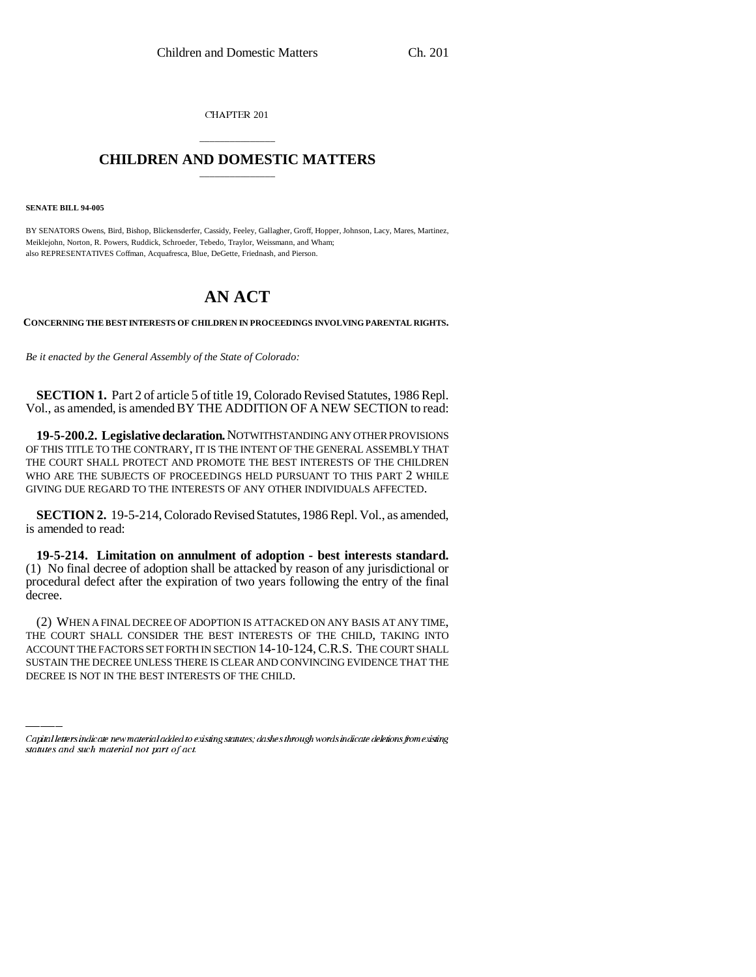CHAPTER 201

## \_\_\_\_\_\_\_\_\_\_\_\_\_\_\_ **CHILDREN AND DOMESTIC MATTERS** \_\_\_\_\_\_\_\_\_\_\_\_\_\_\_

**SENATE BILL 94-005**

BY SENATORS Owens, Bird, Bishop, Blickensderfer, Cassidy, Feeley, Gallagher, Groff, Hopper, Johnson, Lacy, Mares, Martinez, Meiklejohn, Norton, R. Powers, Ruddick, Schroeder, Tebedo, Traylor, Weissmann, and Wham; also REPRESENTATIVES Coffman, Acquafresca, Blue, DeGette, Friednash, and Pierson.

## **AN ACT**

**CONCERNING THE BEST INTERESTS OF CHILDREN IN PROCEEDINGS INVOLVING PARENTAL RIGHTS.**

*Be it enacted by the General Assembly of the State of Colorado:*

**SECTION 1.** Part 2 of article 5 of title 19, Colorado Revised Statutes, 1986 Repl. Vol., as amended, is amended BY THE ADDITION OF A NEW SECTION to read:

**19-5-200.2. Legislative declaration.** NOTWITHSTANDING ANY OTHER PROVISIONS OF THIS TITLE TO THE CONTRARY, IT IS THE INTENT OF THE GENERAL ASSEMBLY THAT THE COURT SHALL PROTECT AND PROMOTE THE BEST INTERESTS OF THE CHILDREN WHO ARE THE SUBJECTS OF PROCEEDINGS HELD PURSUANT TO THIS PART 2 WHILE GIVING DUE REGARD TO THE INTERESTS OF ANY OTHER INDIVIDUALS AFFECTED.

**SECTION 2.** 19-5-214, Colorado Revised Statutes, 1986 Repl. Vol., as amended, is amended to read:

**19-5-214. Limitation on annulment of adoption - best interests standard.** (1) No final decree of adoption shall be attacked by reason of any jurisdictional or procedural defect after the expiration of two years following the entry of the final decree.

THE COURT SHALL CONSIDER THE BEST INTERESTS OF THE CHILD, TAKING INTO (2) WHEN A FINAL DECREE OF ADOPTION IS ATTACKED ON ANY BASIS AT ANY TIME, ACCOUNT THE FACTORS SET FORTH IN SECTION 14-10-124,C.R.S. THE COURT SHALL SUSTAIN THE DECREE UNLESS THERE IS CLEAR AND CONVINCING EVIDENCE THAT THE DECREE IS NOT IN THE BEST INTERESTS OF THE CHILD.

Capital letters indicate new material added to existing statutes; dashes through words indicate deletions from existing statutes and such material not part of act.